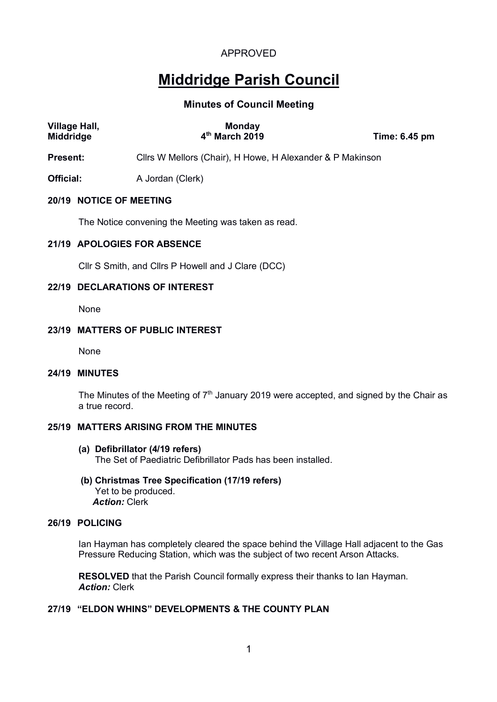# **Middridge Parish Council**

# **Minutes of Council Meeting**

| Village Hall,<br><b>Middridge</b> | <b>Monday</b><br>4 <sup>th</sup> March 2019               | Time: 6.45 pm |  |
|-----------------------------------|-----------------------------------------------------------|---------------|--|
| <b>Present:</b>                   | Cllrs W Mellors (Chair), H Howe, H Alexander & P Makinson |               |  |
| Official:                         | A Jordan (Clerk)                                          |               |  |
| 20/19 NOTICE OF MEETING           |                                                           |               |  |
|                                   | The Notice convening the Meeting was taken as read.       |               |  |

# **21/19 APOLOGIES FOR ABSENCE**

Cllr S Smith, and Cllrs P Howell and J Clare (DCC)

# **22/19 DECLARATIONS OF INTEREST**

None

## **23/19 MATTERS OF PUBLIC INTEREST**

None

#### **24/19 MINUTES**

The Minutes of the Meeting of  $7<sup>th</sup>$  January 2019 were accepted, and signed by the Chair as a true record.

## **25/19 MATTERS ARISING FROM THE MINUTES**

- **(a) Defibrillator (4/19 refers)** The Set of Paediatric Defibrillator Pads has been installed.
- **(b) Christmas Tree Specification (17/19 refers)** Yet to be produced. *Action:* Clerk

## **26/19 POLICING**

Ian Hayman has completely cleared the space behind the Village Hall adjacent to the Gas Pressure Reducing Station, which was the subject of two recent Arson Attacks.

**RESOLVED** that the Parish Council formally express their thanks to Ian Hayman. *Action:* Clerk

# **27/19 "ELDON WHINS" DEVELOPMENTS & THE COUNTY PLAN**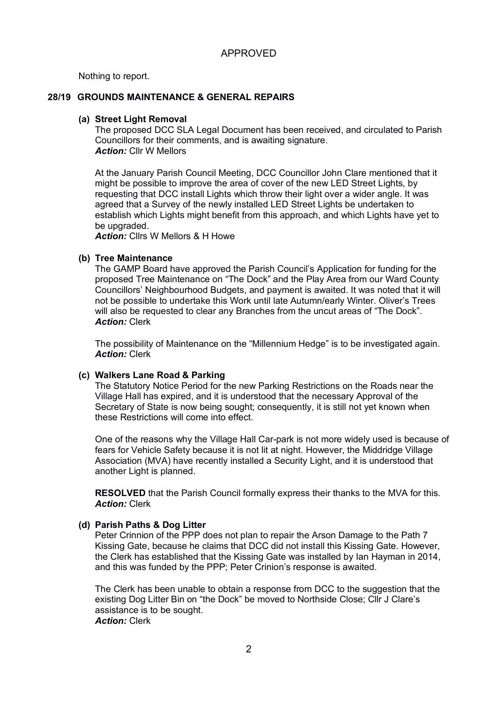Nothing to report.

# **28/19 GROUNDS MAINTENANCE & GENERAL REPAIRS**

#### **(a) Street Light Removal**

The proposed DCC SLA Legal Document has been received, and circulated to Parish Councillors for their comments, and is awaiting signature. *Action:* Cllr W Mellors

At the January Parish Council Meeting, DCC Councillor John Clare mentioned that it might be possible to improve the area of cover of the new LED Street Lights, by requesting that DCC install Lights which throw their light over a wider angle. It was agreed that a Survey of the newly installed LED Street Lights be undertaken to establish which Lights might benefit from this approach, and which Lights have yet to be upgraded.

*Action:* Cllrs W Mellors & H Howe

# **(b) Tree Maintenance**

The GAMP Board have approved the Parish Council's Application for funding for the proposed Tree Maintenance on "The Dock" and the Play Area from our Ward County Councillors' Neighbourhood Budgets, and payment is awaited. It was noted that it will not be possible to undertake this Work until late Autumn/early Winter. Oliver's Trees will also be requested to clear any Branches from the uncut areas of "The Dock". *Action:* Clerk

The possibility of Maintenance on the "Millennium Hedge" is to be investigated again. *Action:* Clerk

# **(c) Walkers Lane Road & Parking**

The Statutory Notice Period for the new Parking Restrictions on the Roads near the Village Hall has expired, and it is understood that the necessary Approval of the Secretary of State is now being sought; consequently, it is still not yet known when these Restrictions will come into effect.

One of the reasons why the Village Hall Car-park is not more widely used is because of fears for Vehicle Safety because it is not lit at night. However, the Middridge Village Association (MVA) have recently installed a Security Light, and it is understood that another Light is planned.

**RESOLVED** that the Parish Council formally express their thanks to the MVA for this. *Action:* Clerk

#### **(d) Parish Paths & Dog Litter**

Peter Crinnion of the PPP does not plan to repair the Arson Damage to the Path 7 Kissing Gate, because he claims that DCC did not install this Kissing Gate. However, the Clerk has established that the Kissing Gate was installed by Ian Hayman in 2014, and this was funded by the PPP; Peter Crinion's response is awaited.

The Clerk has been unable to obtain a response from DCC to the suggestion that the existing Dog Litter Bin on "the Dock" be moved to Northside Close; Cllr J Clare's assistance is to be sought. *Action:* Clerk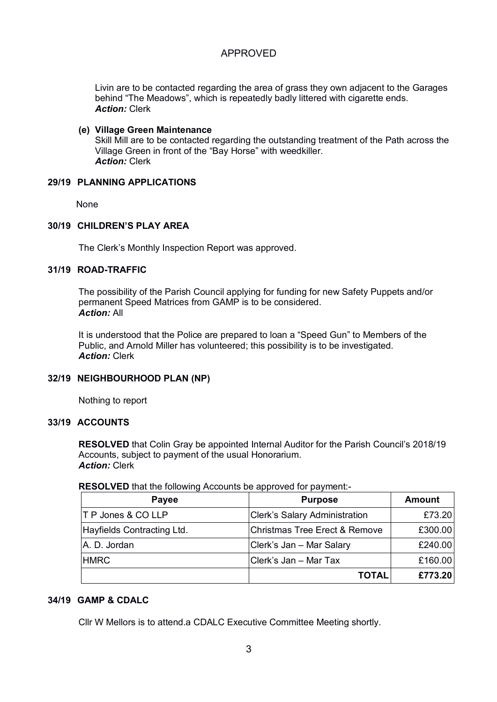Livin are to be contacted regarding the area of grass they own adjacent to the Garages behind "The Meadows", which is repeatedly badly littered with cigarette ends. *Action:* Clerk

#### **(e) Village Green Maintenance** Skill Mill are to be contacted regarding the outstanding treatment of the Path across the Village Green in front of the "Bay Horse" with weedkiller. *Action:* Clerk

# **29/19 PLANNING APPLICATIONS**

None

# **30/19 CHILDREN'S PLAY AREA**

The Clerk's Monthly Inspection Report was approved.

### **31/19 ROAD-TRAFFIC**

The possibility of the Parish Council applying for funding for new Safety Puppets and/or permanent Speed Matrices from GAMP is to be considered. *Action:* All

It is understood that the Police are prepared to loan a "Speed Gun" to Members of the Public, and Arnold Miller has volunteered; this possibility is to be investigated. *Action:* Clerk

#### **32/19 NEIGHBOURHOOD PLAN (NP)**

Nothing to report

#### **33/19 ACCOUNTS**

**RESOLVED** that Colin Gray be appointed Internal Auditor for the Parish Council's 2018/19 Accounts, subject to payment of the usual Honorarium. *Action:* Clerk

#### **RESOLVED** that the following Accounts be approved for payment:-

| Payee                         | <b>Purpose</b>                       | <b>Amount</b> |
|-------------------------------|--------------------------------------|---------------|
| <b>T P Jones &amp; CO LLP</b> | <b>Clerk's Salary Administration</b> | £73.20        |
| Hayfields Contracting Ltd.    | Christmas Tree Erect & Remove        | £300.00       |
| A. D. Jordan                  | Clerk's Jan - Mar Salary             | £240.00       |
| <b>HMRC</b>                   | Clerk's Jan - Mar Tax                | £160.00       |
|                               | <b>TOTAL</b>                         | £773.20       |

# **34/19 GAMP & CDALC**

Cllr W Mellors is to attend.a CDALC Executive Committee Meeting shortly.